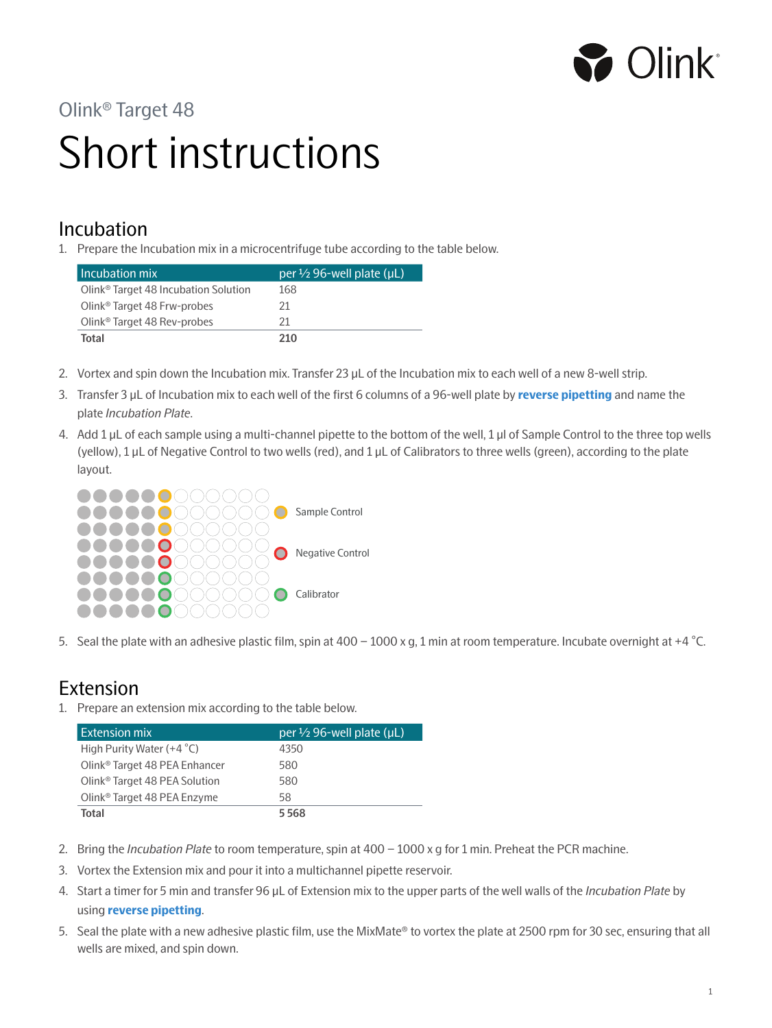

## Olink® Target 48

# Short instructions

#### Incubation

1. Prepare the Incubation mix in a microcentrifuge tube according to the table below.

| Incubation mix                                   | per $\frac{1}{2}$ 96-well plate ( $\mu$ L) |
|--------------------------------------------------|--------------------------------------------|
| Olink <sup>®</sup> Target 48 Incubation Solution | 168                                        |
| Olink <sup>®</sup> Target 48 Frw-probes          | 21                                         |
| Olink <sup>®</sup> Target 48 Rev-probes          | 21                                         |
| Total                                            | 210                                        |

- 2. Vortex and spin down the Incubation mix. Transfer 23 µL of the Incubation mix to each well of a new 8-well strip.
- 3. Transfer 3 μL of Incubation mix to each well of the first 6 columns of a 96-well plate by **reverse pipetting** and name the plate *Incubation Plate*.
- 4. Add 1 µL of each sample using a multi-channel pipette to the bottom of the well, 1 µl of Sample Control to the three top wells (yellow), 1 µL of Negative Control to two wells (red), and 1 µL of Calibrators to three wells (green), according to the plate layout.



5. Seal the plate with an adhesive plastic film, spin at 400 – 1000 x g, 1 min at room temperature. Incubate overnight at +4 °C.

### Extension

1. Prepare an extension mix according to the table below.

| Extension mix                             | per $\frac{1}{2}$ 96-well plate (µL) |
|-------------------------------------------|--------------------------------------|
| High Purity Water $(+4 °C)$               | 4350                                 |
| Olink <sup>®</sup> Target 48 PEA Enhancer | 580                                  |
| Olink <sup>®</sup> Target 48 PEA Solution | 580                                  |
| Olink <sup>®</sup> Target 48 PEA Enzyme   | 58                                   |
| Total                                     | 5568                                 |

- 2. Bring the *Incubation Plate* to room temperature, spin at 400 1000 x g for 1 min. Preheat the PCR machine.
- 3. Vortex the Extension mix and pour it into a multichannel pipette reservoir.
- 4. Start a timer for 5 min and transfer 96 µL of Extension mix to the upper parts of the well walls of the *Incubation Plate* by using **reverse pipetting**.
- 5. Seal the plate with a new adhesive plastic film, use the MixMate® to vortex the plate at 2500 rpm for 30 sec, ensuring that all wells are mixed, and spin down.